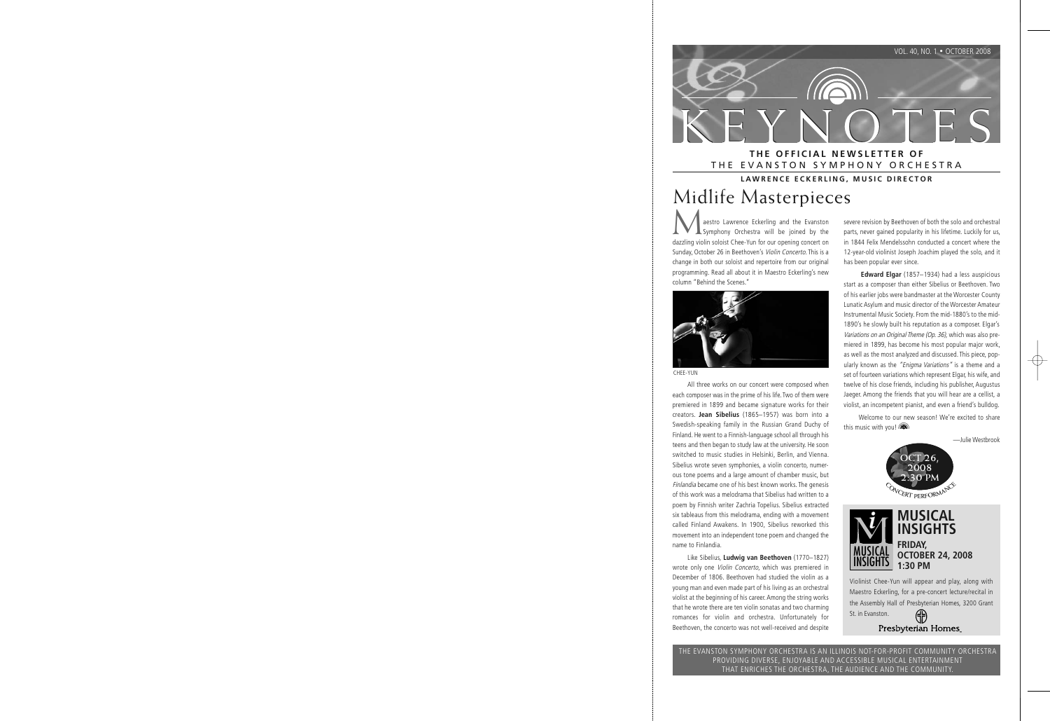

# THE EVANSTON SYMPHONY ORCHESTRA

### **LAWRENCE ECKERLING, MUSIC DIRECTOR**

# Midlife Masterpieces

aestro Lawrence Eckerling and the Evanston Symphony Orchestra will be joined by the dazzling violin soloist Chee-Yun for our opening concert on Sunday, October 26 in Beethoven's Violin Concerto. This is a change in both our soloist and repertoire from our original programming. Read all about it in Maestro Eckerling's new column "Behind the Scenes."



CHEE-YUN

All three works on our concert were composed when each composer was in the prime of his life. Two of them were premiered in 1899 and became signature works for their creators. **Jean Sibelius** (1865–1957) was born into a Swedish-speaking family in the Russian Grand Duchy of Finland. He went to a Finnish-language school all through his teens and then began to study law at the university. He soon switched to music studies in Helsinki, Berlin, and Vienna. Sibelius wrote seven symphonies, a violin concerto, numerous tone poems and a large amount of chamber music, but Finlandia became one of his best known works. The genesis of this work was a melodrama that Sibelius had written to a poem by Finnish writer Zachria Topelius. Sibelius extracted six tableaus from this melodrama, ending with a movement called Finland Awakens. In 1900, Sibelius reworked this movement into an independent tone poem and changed the name to Finlandia.

Like Sibelius, **Ludwig van Beethoven** (1770–1827) wrote only one Violin Concerto, which was premiered in December of 1806. Beethoven had studied the violin as a young man and even made part of his living as an orchestral violist at the beginning of his career. Among the string works that he wrote there are ten violin sonatas and two charming romances for violin and orchestra. Unfortunately for Beethoven, the concerto was not well-received and despite severe revision by Beethoven of both the solo and orchestral parts, never gained popularity in his lifetime. Luckily for us, in 1844 Felix Mendelssohn conducted a concert where the 12-year-old violinist Joseph Joachim played the solo, and it has been popular ever since.

**Edward Elgar** (1857–1934) had a less auspicious start as a composer than either Sibelius or Beethoven. Two of his earlier jobs were bandmaster at the Worcester County Lunatic Asylum and music director of the Worcester Amateur Instrumental Music Society. From the mid-1880's to the mid-1890's he slowly built his reputation as a composer. Elgar's Variations on an Original Theme (Op. 36), which was also premiered in 1899, has become his most popular major work, as well as the most analyzed and discussed. This piece, popularly known as the "Enigma Variations" is a theme and a set of fourteen variations which represent Elgar, his wife, and twelve of his close friends, including his publisher, Augustus Jaeger. Among the friends that you will hear are a cellist, a violist, an incompetent pianist, and even a friend's bulldog.

Welcome to our new season! We're excited to share this music with you!

—Julie Westbrook





Violinist Chee-Yun will appear and play, along with Maestro Eckerling, for a pre-concert lecture/recital in the Assembly Hall of Presbyterian Homes, 3200 Grant St. in Evanston.

Presbyterian Homes

THE EVANSTON SYMPHONY ORCHESTRA IS AN ILLINOIS NOT-FOR-PROFIT COMMUNITY ORCHESTRA PROVIDING DIVERSE, ENJOYABLE AND ACCESSIBLE MUSICAL ENTERTAINMENT THAT ENRICHES THE ORCHESTRA, THE AUDIENCE AND THE COMMUNITY.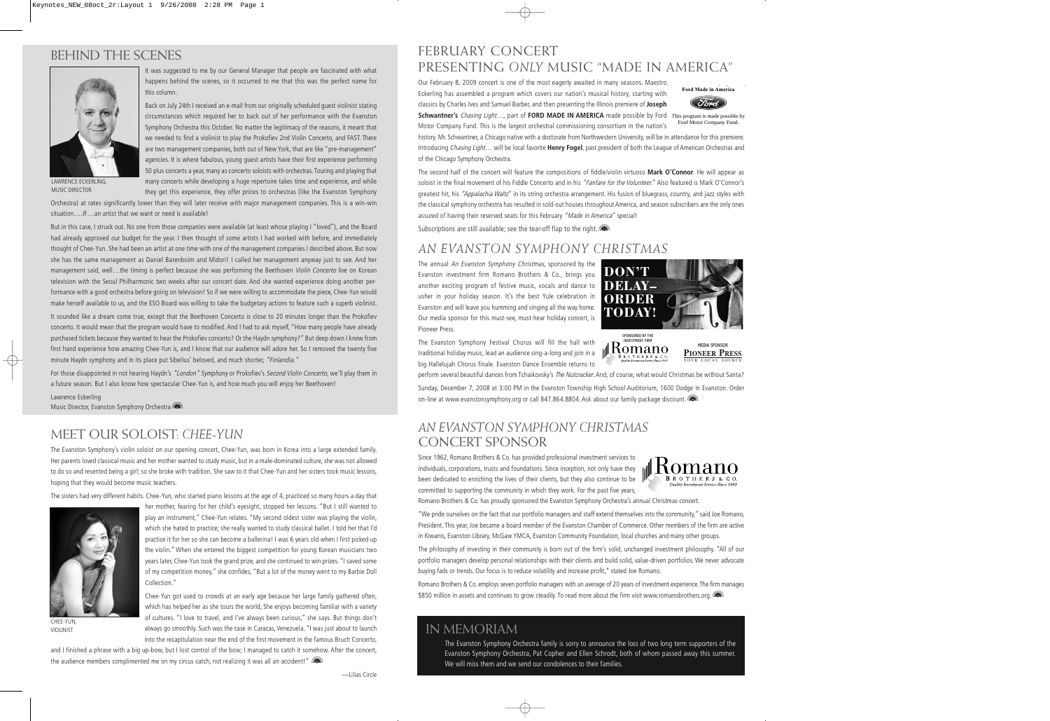# BEHIND THE SCENES



It was suggested to me by our General Manager that people are fascinated with what happens behind the scenes, so it occurred to me that this was the perfect name for this column.

Back on July 24th I received an e-mail from our originally scheduled guest violinist stating circumstances which required her to back out of her performance with the Evanston Symphony Orchestra this October. No matter the legitimacy of the reasons, it meant that we needed to find a violinist to play the Prokofiev 2nd Violin Concerto, and FAST. There are two management companies, both out of New York, that are like "pre-management" agencies. It is where fabulous, young guest artists have their first experience performing 50 plus concerts a year, many as concerto soloists with orchestras. Touring and playing that many concerts while developing a huge repertoire takes time and experience, and while they get this experience, they offer prices to orchestras (like the Evanston Symphony

LAWRENCE ECKERLING, MUSIC DIRECTOR

 Orchestra) at rates significantly lower than they will later receive with major management companies. This is a win-win situation….IF…an artist that we want or need is available!

But in this case, I struck out. No one from those companies were available (at least whose playing I "loved"), and the Board had already approved our budget for the year. I then thought of some artists I had worked with before, and immediately thought of Chee-Yun. She had been an artist at one time with one of the management companies I described above. But now she has the same management as Daniel Barenboim and Midori! I called her management anyway just to see. And her management said, well...the timing is perfect because she was performing the Beethoven Violin Concerto live on Korean television with the Seoul Philharmonic two weeks after our concert date. And she wanted experience doing another performance with a good orchestra before going on television! So if we were willing to accommodate the piece, Chee-Yun would make herself available to us, and the ESO Board was willing to take the budgetary actions to feature such a superb violinist.

It sounded like a dream come true, except that the Beethoven Concerto is close to 20 minutes longer than the Prokofiev concerto. It would mean that the program would have to modified. And I had to ask myself, "How many people have already purchased tickets because they wanted to hear the Prokofiev concerto? Or the Haydn symphony?" But deep down I knew from first hand experience how amazing Chee-Yun is, and I know that our audience will adore her. So I removed the twenty five minute Haydn symphony and in its place put Sibelius' beloved, and much shorter, "Finlandia."

For those disappointed in not hearing Haydn's "London" Symphony or Prokofiev's Second Violin Concerto, we'll play them in a future season. But I also know how spectacular Chee-Yun is, and how much you will enjoy her Beethoven!

Lawrence Eckerling Music Director, Evanston Symphony Orchestra

# MEET OUR SOLOIST: *CHEE-YUN*

The Evanston Symphony's violin soloist on our opening concert, Chee-Yun, was born in Korea into a large extended family. Her parents loved classical music and her mother wanted to study music, but in a male-dominated culture, she was not allowed to do so and resented being a girl; so she broke with tradition. She saw to it that Chee-Yun and her sisters took music lessons, hoping that they would become music teachers.

The sisters had very different habits. Chee-Yun, who started piano lessons at the age of 4, practiced so many hours a day that



CHEE-YUN, VIOLINIST

her mother, fearing for her child's eyesight, stopped her lessons. "But I still wanted to play an instrument," Chee-Yun relates. "My second oldest sister was playing the violin, which she hated to practice; she really wanted to study classical ballet. I told her that I'd practice it for her so she can become a ballerina! I was 6 years old when I first picked up the violin." When she entered the biggest competition for young Korean musicians two years later, Chee-Yun took the grand prize, and she continued to win prizes. "I saved some of my competition money," she confides, "But a lot of the money went to my Barbie Doll Collection."

Chee-Yun got used to crowds at an early age because her large family gathered often, which has helped her as she tours the world, She enjoys becoming familiar with a variety of cultures. "I love to travel, and I've always been curious," she says. But things don't always go smoothly. Such was the case in Caracas, Venezuela. "I was just about to launch into the recapitulation near the end of the first movement in the famous Bruch Concerto,

and I finished a phrase with a big up-bow, but I lost control of the bow; I managed to catch it somehow. After the concert, the audience members complimented me on my circus catch, not realizing it was all an accident!"

## FEBRUARY CONCERT PRESENTING *ONLY* MUSIC "MADE IN AMERICA"

Our February 8, 2009 concert is one of the most eagerly awaited in many seasons. Maestro Eckerling has assembled a program which covers our nation's musical history, starting with classics by Charles Ives and Samuel Barber, and then presenting the Illinois premiere of **Joseph**



**Schwantner's** Chasing Light…, part of **FORD MADE IN AMERICA** made possible by Ford This program is made possible by Motor Company Fund. This is the largest orchestral commissioning consortium in the nation's Ford Motor Company Fund.

 history. Mr. Schwantner, a Chicago native with a doctorate from Northwestern University, will be in attendance for this premiere. Introducing Chasing Light… will be local favorite **Henry Fogel**, past president of both the League of American Orchestras and of the Chicago Symphony Orchestra.

The second half of the concert will feature the compositions of fiddle/violin virtuoso **Mark O'Connor**. He will appear as soloist in the final movement of his Fiddle Concerto and in his "Fanfare for the Volunteer." Also featured is Mark O'Connor's greatest hit, his "Appalachia Waltz" in its string orchestra arrangement. His fusion of bluegrass, country, and jazz styles with the classical symphony orchestra has resulted in sold-out houses throughout America, and season subscribers are the only ones assured of having their reserved seats for this February "Made in America" special!

Subscriptions are still available; see the tear-off flap to the right.

# *AN EVANSTON SYMPHONY CHRISTMAS*

The annual An Evanston Symphony Christmas, sponsored by the Evanston investment firm Romano Brothers & Co., brings you another exciting program of festive music, vocals and dance to usher in your holiday season. It's the best Yule celebration in Evanston and will leave you humming and singing all the way home. Our media sponsor for this must-see, must-hear holiday concert, is Pioneer Press.



SPONSORED BY THE INVESTMENT FIRM

Komano

The Evanston Symphony Festival Chorus will fill the hall with traditional holiday music, lead an audience sing-a-long and join in a big Hallelujah Chorus finale. Evanston Dance Ensemble returns to

perform several beautiful dances from Tchaikovsky's The Nutcracker. And, of course, what would Christmas be without Santa?

Sunday, December 7, 2008 at 3:00 PM in the Evanston Township High School Auditorium, 1600 Dodge in Evanston. Order on-line at www.evanstonsymphony.org or call 847.864.8804. Ask about our family package discount.

## *AN EVANSTON SYMPHONY CHRISTMAS*  CONCERT SPONSOR

Since 1962, Romano Brothers & Co. has provided professional investment services to individuals, corporations, trusts and foundations. Since inception, not only have they been dedicated to enriching the lives of their clients, but they also continue to be committed to supporting the community in which they work. For the past five years,



MEDIA SPONSOR **PIONEER PRESS** YOUR LOCAL SOURCE

Romano Brothers & Co. has proudly sponsored the Evanston Symphony Orchestra's annual Christmas concert.

"We pride ourselves on the fact that our portfolio managers and staff extend themselves into the community," said Joe Romano, President. This year, Joe became a board member of the Evanston Chamber of Commerce. Other members of the firm are active in Kiwanis, Evanston Library, McGaw YMCA, Evanston Community Foundation, local churches and many other groups.

The philosophy of investing in their community is born out of the firm's solid, unchanged investment philosophy. "All of our portfolio managers develop personal relationships with their clients and build solid, value-driven portfolios. We never advocate buying fads or trends. Our focus is to reduce volatility and increase profit," stated Joe Romano.

Romano Brothers & Co. employs seven portfolio managers with an average of 20 years of investment experience. The firm manages \$850 million in assets and continues to grow steadily. To read more about the firm visit www.romanobrothers.org.

## IN MEMORIAM

The Evanston Symphony Orchestra family is sorry to announce the loss of two long term supporters of the Evanston Symphony Orchestra, Pat Copher and Ellen Schrodt, both of whom passed away this summer. We will miss them and we send our condolences to their families.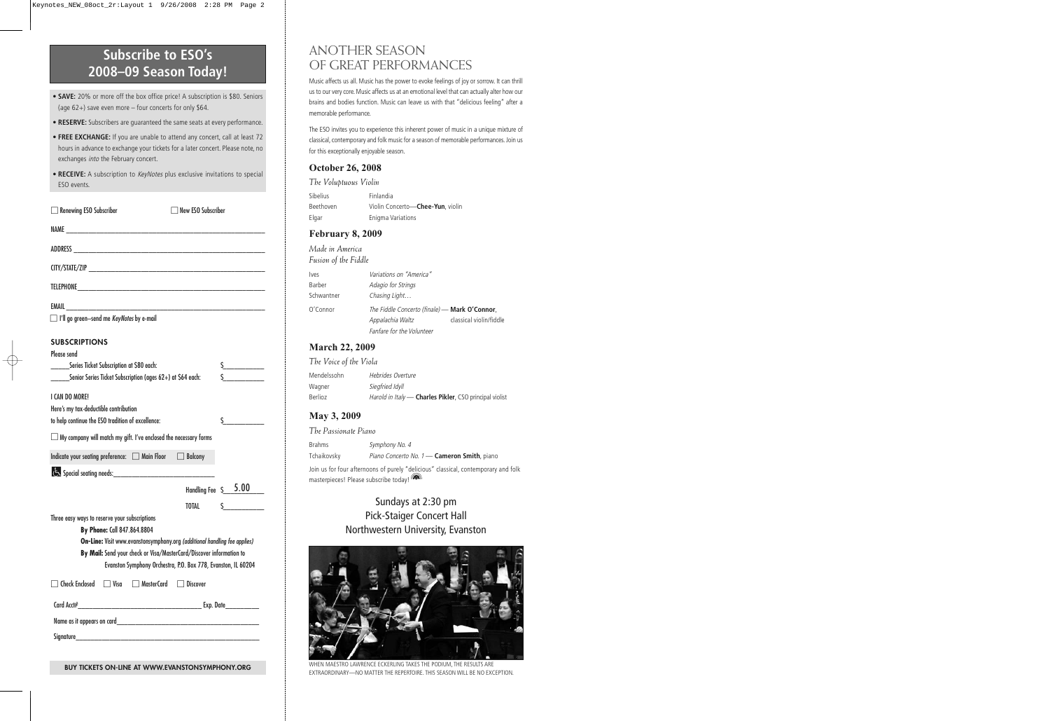# **Subscribe to ESO's 2008–09 Season Today!**

- **SAVE:** 20% or more off the box office price! A subscription is \$80. Seniors (age 62+) save even more – four concerts for only \$64.
- **RESERVE:** Subscribers are guaranteed the same seats at every performance.
- **FREE EXCHANGE:** If you are unable to attend any concert, call at least 72 hours in advance to exchange your tickets for a later concert. Please note, no exchanges *into* the February concert.
- **RECEIVE:** A subscription to *KeyNotes* plus exclusive invitations to special ESO events.

| $\Box$ Renewing ESO Subscriber                                                                                                       | $\Box$ New ESO Subscriber |                                     |
|--------------------------------------------------------------------------------------------------------------------------------------|---------------------------|-------------------------------------|
|                                                                                                                                      |                           |                                     |
|                                                                                                                                      |                           |                                     |
|                                                                                                                                      |                           |                                     |
|                                                                                                                                      |                           |                                     |
| $\Box$ I'll go green-send me KeyNotes by e-mail                                                                                      |                           |                                     |
| <b>SUBSCRIPTIONS</b>                                                                                                                 |                           |                                     |
| Please send                                                                                                                          |                           |                                     |
| Series Ticket Subscription at \$80 each:                                                                                             |                           | $\frac{1}{2}$                       |
| ______Senior Series Ticket Subscription (ages 62+) at \$64 each:                                                                     |                           |                                     |
| I CAN DO MORE!<br>Here's my tax-deductible contribution<br>to help continue the ESO tradition of excellence:                         |                           | $\mathsf{S}$ and $\mathsf{S}$       |
| $\Box$ My company will match my gift. I've enclosed the necessary forms                                                              |                           |                                     |
| Indicate your seating preference: and Main Floor and Balcony                                                                         |                           |                                     |
|                                                                                                                                      |                           |                                     |
|                                                                                                                                      |                           |                                     |
|                                                                                                                                      |                           | Handling Fee $\,$ $\frac{5.00}{\,}$ |
|                                                                                                                                      | TOTAL                     | $\mathsf{S}$                        |
| Three easy ways to reserve your subscriptions                                                                                        |                           |                                     |
| By Phone: Call 847.864.8804                                                                                                          |                           |                                     |
| <b>On-Line:</b> Visit www.evanstonsymphony.org (additional handling fee applies)                                                     |                           |                                     |
| By Mail: Send your check or Visa/MasterCard/Discover information to<br>Evanston Symphony Orchestra, P.O. Box 778, Evanston, IL 60204 |                           |                                     |
| □ Check Enclosed □ Visa □ MasterCard □ Discover                                                                                      |                           |                                     |
|                                                                                                                                      |                           |                                     |
|                                                                                                                                      |                           |                                     |
|                                                                                                                                      |                           |                                     |

#### **BUY TICKETS ON-LINE AT WWW.EVANSTONSYMPHONY.ORG**

# ANOTHER SEASON OF GREAT PERFORMANCES

Music affects us all. Music has the power to evoke feelings of joy or sorrow. It can thrill us to our very core. Music affects us at an emotional level that can actually alter how our brains and bodies function. Music can leave us with that "delicious feeling" after a memorable performance.

The ESO invites you to experience this inherent power of music in a unique mixture of classical, contemporary and folk music for a season of memorable performances. Join us for this exceptionally enjoyable season.

### **October 26, 2008**

*The Voluptuous Violin* Sibelius Finlandia Beethoven Violin Concerto—**Chee-Yun**, violin Elgar Enigma Variations

### **February 8, 2009**

*Made in America Fusion of the Fiddle*

| lves       | Variations on "America"                       |                         |
|------------|-----------------------------------------------|-------------------------|
| Barber     | Adagio for Strings                            |                         |
| Schwantner | Chasing Light                                 |                         |
| O'Connor   | The Fiddle Concerto (finale) - Mark O'Connor, |                         |
|            | Appalachia Waltz                              | classical violin/fiddle |
|            | Fanfare for the Volunteer                     |                         |

#### **March 22, 2009**

*The Voice of the Viola*

| Mendelssohn | Hebrides Overture                                       |
|-------------|---------------------------------------------------------|
| Wagner      | Siegfried Idyll                                         |
| Berlioz     | Harold in Italy - Charles Pikler, CSO principal violist |

### **May 3, 2009**

| The Passionate Piano |                                                                                    |
|----------------------|------------------------------------------------------------------------------------|
| <b>Brahms</b>        | Symphony No. 4                                                                     |
| Tchaikovsky          | Piano Concerto No. 1 - Cameron Smith, piano                                        |
|                      | Join us for four afternoons of purely "delicious" classical, contemporary and folk |
|                      | masterpieces! Please subscribe todav!                                              |

### Sundays at 2:30 pm Pick-Staiger Concert Hall Northwestern University, Evanston



WHEN MAESTRO LAWRENCE ECKERLING TAKES THE PODIUM, THE RESULTS ARE EXTRAORDINARY—NO MATTER THE REPERTOIRE. THIS SEASON WILL BE NO EXCEPTION.